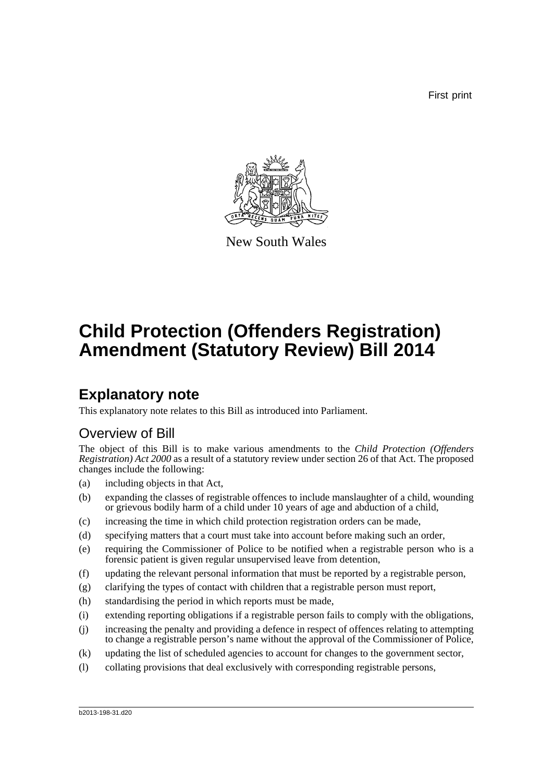First print



New South Wales

# **Child Protection (Offenders Registration) Amendment (Statutory Review) Bill 2014**

# **Explanatory note**

This explanatory note relates to this Bill as introduced into Parliament.

## Overview of Bill

The object of this Bill is to make various amendments to the *Child Protection (Offenders Registration) Act 2000* as a result of a statutory review under section 26 of that Act. The proposed changes include the following:

- (a) including objects in that Act,
- (b) expanding the classes of registrable offences to include manslaughter of a child, wounding or grievous bodily harm of a child under 10 years of age and abduction of a child,
- (c) increasing the time in which child protection registration orders can be made,
- (d) specifying matters that a court must take into account before making such an order,
- (e) requiring the Commissioner of Police to be notified when a registrable person who is a forensic patient is given regular unsupervised leave from detention,
- (f) updating the relevant personal information that must be reported by a registrable person,
- (g) clarifying the types of contact with children that a registrable person must report,
- (h) standardising the period in which reports must be made,
- (i) extending reporting obligations if a registrable person fails to comply with the obligations,
- (j) increasing the penalty and providing a defence in respect of offences relating to attempting to change a registrable person's name without the approval of the Commissioner of Police,
- (k) updating the list of scheduled agencies to account for changes to the government sector,
- (l) collating provisions that deal exclusively with corresponding registrable persons,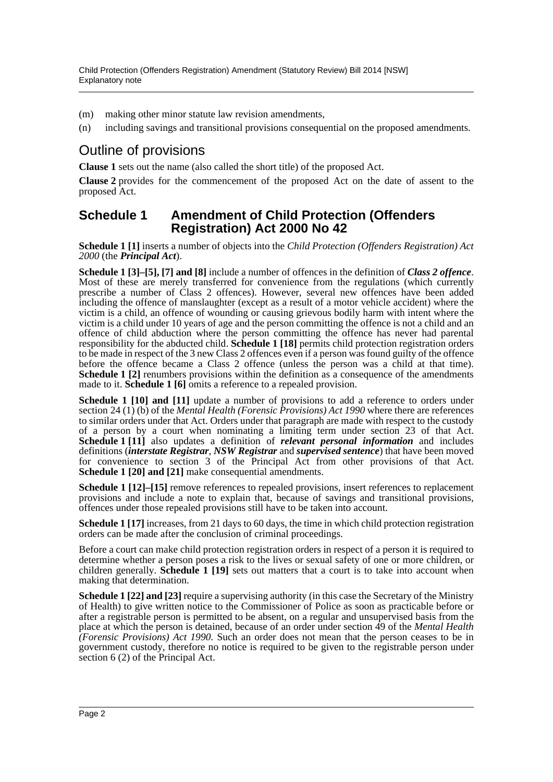- (m) making other minor statute law revision amendments,
- (n) including savings and transitional provisions consequential on the proposed amendments.

## Outline of provisions

**Clause 1** sets out the name (also called the short title) of the proposed Act.

**Clause 2** provides for the commencement of the proposed Act on the date of assent to the proposed Act.

#### **Schedule 1 Amendment of Child Protection (Offenders Registration) Act 2000 No 42**

**Schedule 1 [1]** inserts a number of objects into the *Child Protection (Offenders Registration) Act 2000* (the *Principal Act*).

**Schedule 1 [3]–[5], [7] and [8]** include a number of offences in the definition of *Class 2 offence*. Most of these are merely transferred for convenience from the regulations (which currently prescribe a number of Class 2 offences). However, several new offences have been added including the offence of manslaughter (except as a result of a motor vehicle accident) where the victim is a child, an offence of wounding or causing grievous bodily harm with intent where the victim is a child under 10 years of age and the person committing the offence is not a child and an offence of child abduction where the person committing the offence has never had parental responsibility for the abducted child. **Schedule 1 [18]** permits child protection registration orders to be made in respect of the 3 new Class 2 offences even if a person was found guilty of the offence before the offence became a Class 2 offence (unless the person was a child at that time). **Schedule 1** [2] renumbers provisions within the definition as a consequence of the amendments made to it. **Schedule 1 [6]** omits a reference to a repealed provision.

**Schedule 1 [10] and [11]** update a number of provisions to add a reference to orders under section 24 (1) (b) of the *Mental Health (Forensic Provisions) Act 1990* where there are references to similar orders under that Act. Orders under that paragraph are made with respect to the custody of a person by a court when nominating a limiting term under section 23 of that Act. **Schedule 1 [11]** also updates a definition of *relevant personal information* and includes definitions (*interstate Registrar*, *NSW Registrar* and *supervised sentence*) that have been moved for convenience to section 3 of the Principal Act from other provisions of that Act. **Schedule 1 [20] and [21]** make consequential amendments.

**Schedule 1 [12]–[15]** remove references to repealed provisions, insert references to replacement provisions and include a note to explain that, because of savings and transitional provisions, offences under those repealed provisions still have to be taken into account.

**Schedule 1 [17]** increases, from 21 days to 60 days, the time in which child protection registration orders can be made after the conclusion of criminal proceedings.

Before a court can make child protection registration orders in respect of a person it is required to determine whether a person poses a risk to the lives or sexual safety of one or more children, or children generally. **Schedule 1 [19]** sets out matters that a court is to take into account when making that determination.

**Schedule 1 [22] and [23]** require a supervising authority (in this case the Secretary of the Ministry of Health) to give written notice to the Commissioner of Police as soon as practicable before or after a registrable person is permitted to be absent, on a regular and unsupervised basis from the place at which the person is detained, because of an order under section 49 of the *Mental Health (Forensic Provisions) Act 1990*. Such an order does not mean that the person ceases to be in government custody, therefore no notice is required to be given to the registrable person under section 6 (2) of the Principal Act.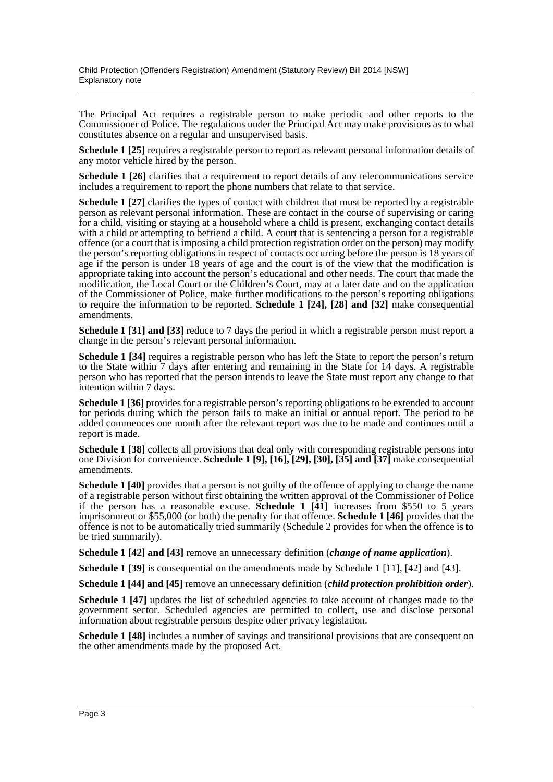The Principal Act requires a registrable person to make periodic and other reports to the Commissioner of Police. The regulations under the Principal Act may make provisions as to what constitutes absence on a regular and unsupervised basis.

**Schedule 1 [25]** requires a registrable person to report as relevant personal information details of any motor vehicle hired by the person.

**Schedule 1 [26]** clarifies that a requirement to report details of any telecommunications service includes a requirement to report the phone numbers that relate to that service.

**Schedule 1 [27]** clarifies the types of contact with children that must be reported by a registrable person as relevant personal information. These are contact in the course of supervising or caring for a child, visiting or staying at a household where a child is present, exchanging contact details with a child or attempting to befriend a child. A court that is sentencing a person for a registrable offence (or a court that is imposing a child protection registration order on the person) may modify the person's reporting obligations in respect of contacts occurring before the person is 18 years of age if the person is under 18 years of age and the court is of the view that the modification is appropriate taking into account the person's educational and other needs. The court that made the modification, the Local Court or the Children's Court, may at a later date and on the application of the Commissioner of Police, make further modifications to the person's reporting obligations to require the information to be reported. **Schedule 1 [24], [28] and [32]** make consequential amendments.

**Schedule 1 [31] and [33]** reduce to 7 days the period in which a registrable person must report a change in the person's relevant personal information.

**Schedule 1 [34]** requires a registrable person who has left the State to report the person's return to the State within 7 days after entering and remaining in the State for 14 days. A registrable person who has reported that the person intends to leave the State must report any change to that intention within 7 days.

**Schedule 1 [36]** provides for a registrable person's reporting obligations to be extended to account for periods during which the person fails to make an initial or annual report. The period to be added commences one month after the relevant report was due to be made and continues until a report is made.

**Schedule 1 [38]** collects all provisions that deal only with corresponding registrable persons into one Division for convenience. **Schedule 1 [9], [16], [29], [30], [35] and [37]** make consequential amendments.

**Schedule 1 [40]** provides that a person is not guilty of the offence of applying to change the name of a registrable person without first obtaining the written approval of the Commissioner of Police if the person has a reasonable excuse. **Schedule 1 [41]** increases from \$550 to 5 years imprisonment or \$55,000 (or both) the penalty for that offence. **Schedule 1 [46]** provides that the offence is not to be automatically tried summarily (Schedule 2 provides for when the offence is to be tried summarily).

**Schedule 1 [42] and [43]** remove an unnecessary definition (*change of name application*).

**Schedule 1 [39]** is consequential on the amendments made by Schedule 1 [11], [42] and [43].

**Schedule 1 [44] and [45]** remove an unnecessary definition (*child protection prohibition order*).

**Schedule 1 [47]** updates the list of scheduled agencies to take account of changes made to the government sector. Scheduled agencies are permitted to collect, use and disclose personal information about registrable persons despite other privacy legislation.

**Schedule 1 [48]** includes a number of savings and transitional provisions that are consequent on the other amendments made by the proposed Act.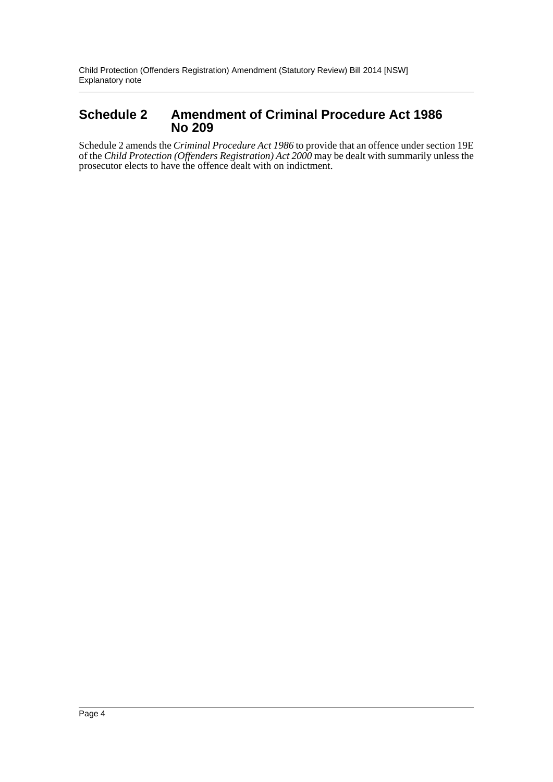### **Schedule 2 Amendment of Criminal Procedure Act 1986 No 209**

Schedule 2 amends the *Criminal Procedure Act 1986* to provide that an offence under section 19E of the *Child Protection (Offenders Registration) Act 2000* may be dealt with summarily unless the prosecutor elects to have the offence dealt with on indictment.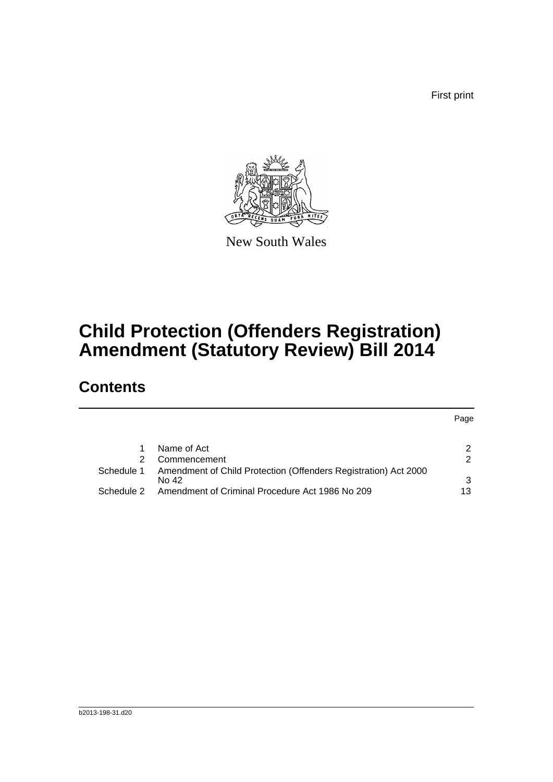First print



New South Wales

# **Child Protection (Offenders Registration) Amendment (Statutory Review) Bill 2014**

## **Contents**

|            |                                                                 | Page          |
|------------|-----------------------------------------------------------------|---------------|
|            |                                                                 |               |
|            | Name of Act                                                     | 2             |
|            | Commencement                                                    | $\mathcal{P}$ |
| Schedule 1 | Amendment of Child Protection (Offenders Registration) Act 2000 |               |
|            | No 42                                                           | 3             |
| Schedule 2 | Amendment of Criminal Procedure Act 1986 No 209                 | 13            |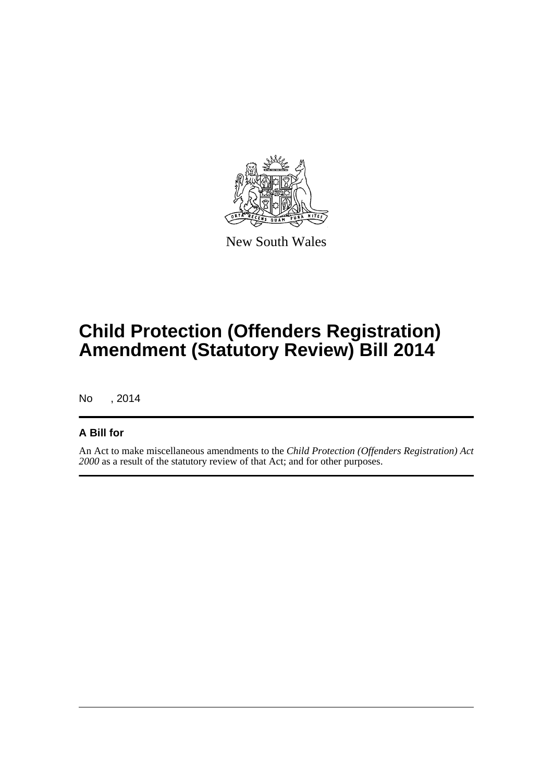

New South Wales

# **Child Protection (Offenders Registration) Amendment (Statutory Review) Bill 2014**

No , 2014

#### **A Bill for**

An Act to make miscellaneous amendments to the *Child Protection (Offenders Registration) Act 2000* as a result of the statutory review of that Act; and for other purposes.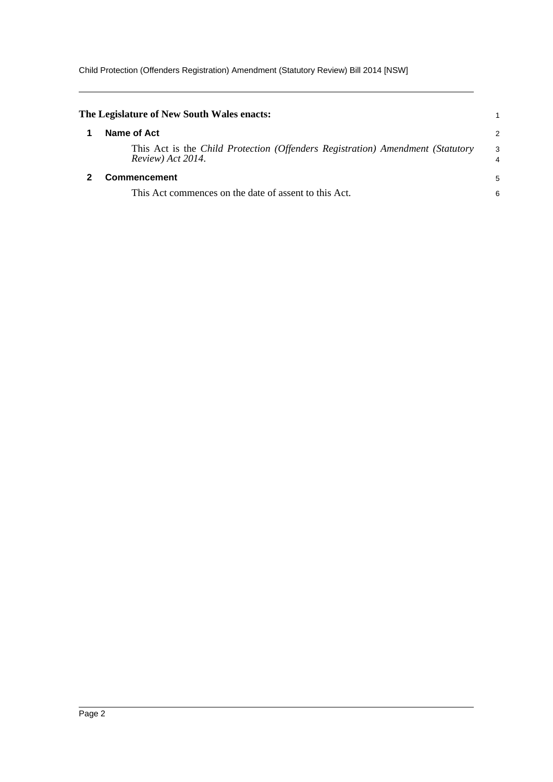Child Protection (Offenders Registration) Amendment (Statutory Review) Bill 2014 [NSW]

<span id="page-6-1"></span><span id="page-6-0"></span>

| The Legislature of New South Wales enacts:                                                          |                     |
|-----------------------------------------------------------------------------------------------------|---------------------|
| Name of Act                                                                                         | $\overline{2}$      |
| This Act is the Child Protection (Offenders Registration) Amendment (Statutory<br>Review) Act 2014. | 3<br>$\overline{4}$ |
| <b>Commencement</b>                                                                                 | 5                   |
| This Act commences on the date of assent to this Act.                                               | 6                   |
|                                                                                                     |                     |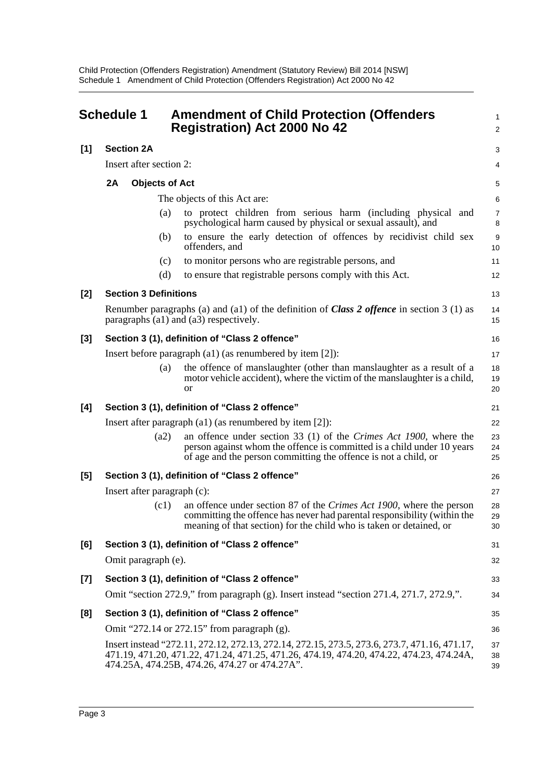<span id="page-7-0"></span>

|       | <b>Schedule 1</b> |                              | <b>Amendment of Child Protection (Offenders</b><br><b>Registration) Act 2000 No 42</b>                                                                                                                                                    | $\mathbf{1}$<br>$\overline{2}$ |
|-------|-------------------|------------------------------|-------------------------------------------------------------------------------------------------------------------------------------------------------------------------------------------------------------------------------------------|--------------------------------|
| $[1]$ |                   | <b>Section 2A</b>            |                                                                                                                                                                                                                                           | 3                              |
|       |                   | Insert after section 2:      |                                                                                                                                                                                                                                           | 4                              |
|       | 2A                | <b>Objects of Act</b>        |                                                                                                                                                                                                                                           | 5                              |
|       |                   |                              | The objects of this Act are:                                                                                                                                                                                                              | 6                              |
|       |                   | (a)                          | to protect children from serious harm (including physical and<br>psychological harm caused by physical or sexual assault), and                                                                                                            | 7<br>8                         |
|       |                   | (b)                          | to ensure the early detection of offences by recidivist child sex<br>offenders, and                                                                                                                                                       | $\boldsymbol{9}$<br>10         |
|       |                   | (c)                          | to monitor persons who are registrable persons, and                                                                                                                                                                                       | 11                             |
|       |                   | (d)                          | to ensure that registrable persons comply with this Act.                                                                                                                                                                                  | 12                             |
| [2]   |                   | <b>Section 3 Definitions</b> |                                                                                                                                                                                                                                           | 13                             |
|       |                   |                              | Renumber paragraphs (a) and (a1) of the definition of <i>Class 2 offence</i> in section 3 (1) as<br>paragraphs (a1) and (a3) respectively.                                                                                                | 14<br>15                       |
| $[3]$ |                   |                              | Section 3 (1), definition of "Class 2 offence"                                                                                                                                                                                            | 16                             |
|       |                   |                              | Insert before paragraph $(a1)$ (as renumbered by item $[2]$ ):                                                                                                                                                                            | 17                             |
|       |                   | (a)                          | the offence of manslaughter (other than manslaughter as a result of a<br>motor vehicle accident), where the victim of the manslaughter is a child,<br><b>or</b>                                                                           | 18<br>19<br>20                 |
| [4]   |                   |                              | Section 3 (1), definition of "Class 2 offence"                                                                                                                                                                                            | 21                             |
|       |                   |                              | Insert after paragraph $(a1)$ (as renumbered by item $[2]$ ):                                                                                                                                                                             | 22                             |
|       |                   | (a2)                         | an offence under section 33 (1) of the Crimes Act 1900, where the<br>person against whom the offence is committed is a child under 10 years<br>of age and the person committing the offence is not a child, or                            | 23<br>24<br>25                 |
| [5]   |                   |                              | Section 3 (1), definition of "Class 2 offence"                                                                                                                                                                                            | 26                             |
|       |                   | Insert after paragraph (c):  |                                                                                                                                                                                                                                           | 27                             |
|       |                   | (c1)                         | an offence under section 87 of the Crimes Act 1900, where the person<br>committing the offence has never had parental responsibility (within the<br>meaning of that section) for the child who is taken or detained, or                   | 28<br>29<br>30                 |
| [6]   |                   |                              | Section 3 (1), definition of "Class 2 offence"                                                                                                                                                                                            | 31                             |
|       |                   | Omit paragraph (e).          |                                                                                                                                                                                                                                           | 32                             |
| [7]   |                   |                              | Section 3 (1), definition of "Class 2 offence"                                                                                                                                                                                            | 33                             |
|       |                   |                              | Omit "section 272.9," from paragraph (g). Insert instead "section 271.4, 271.7, 272.9,".                                                                                                                                                  | 34                             |
| [8]   |                   |                              | Section 3 (1), definition of "Class 2 offence"                                                                                                                                                                                            | 35                             |
|       |                   |                              | Omit "272.14 or 272.15" from paragraph (g).                                                                                                                                                                                               | 36                             |
|       |                   |                              | Insert instead "272.11, 272.12, 272.13, 272.14, 272.15, 273.5, 273.6, 273.7, 471.16, 471.17,<br>471.19, 471.20, 471.22, 471.24, 471.25, 471.26, 474.19, 474.20, 474.22, 474.23, 474.24A,<br>474.25A, 474.25B, 474.26, 474.27 or 474.27A". | 37<br>38<br>39                 |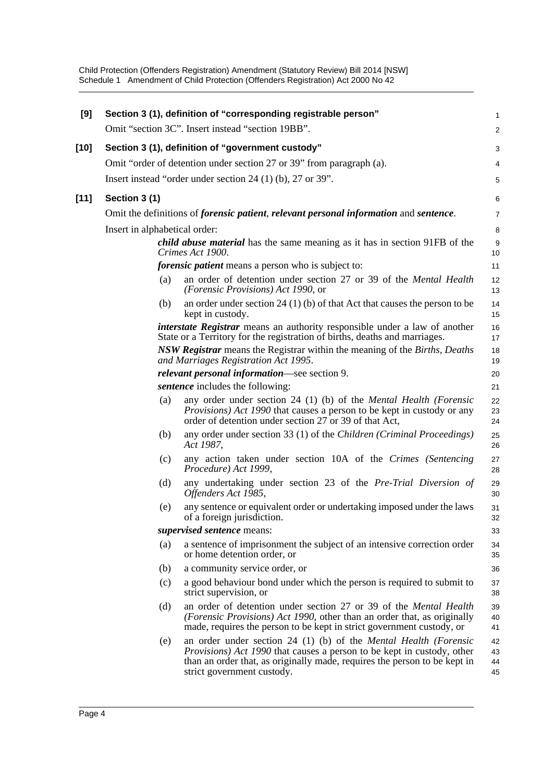| [9]    |                               | Section 3 (1), definition of "corresponding registrable person"                                                                                                                                                                                                      | 1                    |
|--------|-------------------------------|----------------------------------------------------------------------------------------------------------------------------------------------------------------------------------------------------------------------------------------------------------------------|----------------------|
|        |                               | Omit "section 3C". Insert instead "section 19BB".                                                                                                                                                                                                                    | $\overline{c}$       |
| $[10]$ |                               | Section 3 (1), definition of "government custody"                                                                                                                                                                                                                    | 3                    |
|        |                               | Omit "order of detention under section 27 or 39" from paragraph (a).                                                                                                                                                                                                 | 4                    |
|        |                               | Insert instead "order under section 24 $(1)$ (b), 27 or 39".                                                                                                                                                                                                         | 5                    |
| $[11]$ | Section 3 (1)                 |                                                                                                                                                                                                                                                                      | 6                    |
|        |                               | Omit the definitions of <i>forensic patient</i> , <i>relevant personal information</i> and <i>sentence</i> .                                                                                                                                                         | 7                    |
|        | Insert in alphabetical order: |                                                                                                                                                                                                                                                                      | 8                    |
|        |                               | <i>child abuse material</i> has the same meaning as it has in section 91FB of the<br>Crimes Act 1900.                                                                                                                                                                | 9<br>10              |
|        |                               | forensic patient means a person who is subject to:                                                                                                                                                                                                                   | 11                   |
|        | (a)                           | an order of detention under section 27 or 39 of the <i>Mental Health</i><br>(Forensic Provisions) Act 1990, or                                                                                                                                                       | 12<br>13             |
|        | (b)                           | an order under section 24 (1) (b) of that Act that causes the person to be<br>kept in custody.                                                                                                                                                                       | 14<br>15             |
|        |                               | <i>interstate Registrar</i> means an authority responsible under a law of another<br>State or a Territory for the registration of births, deaths and marriages.                                                                                                      | 16<br>17             |
|        |                               | NSW Registrar means the Registrar within the meaning of the Births, Deaths<br>and Marriages Registration Act 1995.                                                                                                                                                   | 18<br>19             |
|        |                               | <i>relevant personal information</i> —see section 9.                                                                                                                                                                                                                 | 20                   |
|        |                               | sentence includes the following:                                                                                                                                                                                                                                     | 21                   |
|        | (a)                           | any order under section 24 (1) (b) of the Mental Health (Forensic<br>Provisions) Act 1990 that causes a person to be kept in custody or any<br>order of detention under section 27 or 39 of that Act,                                                                | 22<br>23<br>24       |
|        | (b)                           | any order under section 33 (1) of the Children (Criminal Proceedings)<br>Act 1987,                                                                                                                                                                                   | 25<br>26             |
|        | (c)                           | any action taken under section 10A of the Crimes (Sentencing<br>Procedure) Act 1999,                                                                                                                                                                                 | 27<br>28             |
|        | (d)                           | any undertaking under section 23 of the Pre-Trial Diversion of<br>Offenders Act 1985,                                                                                                                                                                                | 29<br>30             |
|        | (e)                           | any sentence or equivalent order or undertaking imposed under the laws<br>of a foreign jurisdiction.                                                                                                                                                                 | 31<br>32             |
|        |                               | <i>supervised sentence</i> means:                                                                                                                                                                                                                                    | 33                   |
|        | (a)                           | a sentence of imprisonment the subject of an intensive correction order<br>or home detention order, or                                                                                                                                                               | 34<br>35             |
|        | (b)                           | a community service order, or                                                                                                                                                                                                                                        | 36                   |
|        | (c)                           | a good behaviour bond under which the person is required to submit to<br>strict supervision, or                                                                                                                                                                      | 37<br>38             |
|        | (d)                           | an order of detention under section 27 or 39 of the <i>Mental Health</i><br>(Forensic Provisions) Act 1990, other than an order that, as originally<br>made, requires the person to be kept in strict government custody, or                                         | 39<br>40<br>41       |
|        | (e)                           | an order under section 24 (1) (b) of the <i>Mental Health (Forensic</i><br><i>Provisions</i> ) Act 1990 that causes a person to be kept in custody, other<br>than an order that, as originally made, requires the person to be kept in<br>strict government custody. | 42<br>43<br>44<br>45 |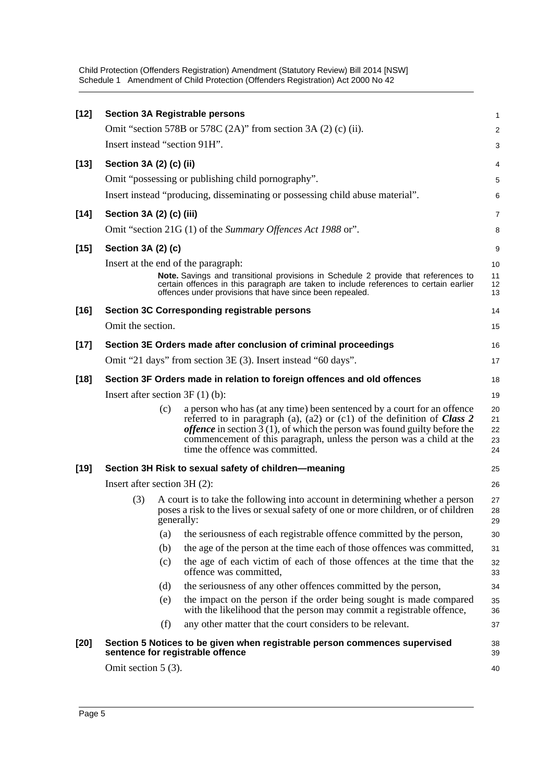| $[12]$ |                                   |     | <b>Section 3A Registrable persons</b>                                                                                                                                                                                                                                                                                                                 | 1                          |  |  |
|--------|-----------------------------------|-----|-------------------------------------------------------------------------------------------------------------------------------------------------------------------------------------------------------------------------------------------------------------------------------------------------------------------------------------------------------|----------------------------|--|--|
|        |                                   |     | Omit "section 578B or 578C $(2A)$ " from section 3A $(2)$ $(c)$ $(ii)$ .                                                                                                                                                                                                                                                                              | $\overline{a}$             |  |  |
|        |                                   |     | Insert instead "section 91H".                                                                                                                                                                                                                                                                                                                         | 3                          |  |  |
| $[13]$ | Section 3A (2) (c) (ii)           |     |                                                                                                                                                                                                                                                                                                                                                       | 4                          |  |  |
|        |                                   |     | Omit "possessing or publishing child pornography".                                                                                                                                                                                                                                                                                                    | 5                          |  |  |
|        |                                   |     | Insert instead "producing, disseminating or possessing child abuse material".                                                                                                                                                                                                                                                                         | 6                          |  |  |
| $[14]$ | Section 3A (2) (c) (iii)          |     |                                                                                                                                                                                                                                                                                                                                                       | 7                          |  |  |
|        |                                   |     | Omit "section 21G (1) of the Summary Offences Act 1988 or".                                                                                                                                                                                                                                                                                           | 8                          |  |  |
| $[15]$ | Section 3A (2) (c)                |     |                                                                                                                                                                                                                                                                                                                                                       | 9                          |  |  |
|        |                                   |     | Insert at the end of the paragraph:                                                                                                                                                                                                                                                                                                                   | 10                         |  |  |
|        |                                   |     | Note. Savings and transitional provisions in Schedule 2 provide that references to<br>certain offences in this paragraph are taken to include references to certain earlier<br>offences under provisions that have since been repealed.                                                                                                               | 11<br>12<br>13             |  |  |
| $[16]$ |                                   |     | Section 3C Corresponding registrable persons                                                                                                                                                                                                                                                                                                          | 14                         |  |  |
|        | Omit the section.                 |     |                                                                                                                                                                                                                                                                                                                                                       | 15                         |  |  |
| $[17]$ |                                   |     | Section 3E Orders made after conclusion of criminal proceedings                                                                                                                                                                                                                                                                                       | 16                         |  |  |
|        |                                   |     | Omit "21 days" from section 3E (3). Insert instead "60 days".                                                                                                                                                                                                                                                                                         | 17                         |  |  |
| $[18]$ |                                   |     | Section 3F Orders made in relation to foreign offences and old offences                                                                                                                                                                                                                                                                               | 18                         |  |  |
|        | Insert after section $3F(1)(b)$ : |     |                                                                                                                                                                                                                                                                                                                                                       |                            |  |  |
|        |                                   | (c) | a person who has (at any time) been sentenced by a court for an offence<br>referred to in paragraph (a), (a2) or (c1) of the definition of Class $2$<br><i>offence</i> in section $3(1)$ , of which the person was found guilty before the<br>commencement of this paragraph, unless the person was a child at the<br>time the offence was committed. | 20<br>21<br>22<br>23<br>24 |  |  |
| $[19]$ |                                   |     | Section 3H Risk to sexual safety of children-meaning                                                                                                                                                                                                                                                                                                  | 25                         |  |  |
|        | Insert after section 3H (2):      |     |                                                                                                                                                                                                                                                                                                                                                       | 26                         |  |  |
|        | (3)                               |     | A court is to take the following into account in determining whether a person<br>poses a risk to the lives or sexual safety of one or more children, or of children<br>generally:                                                                                                                                                                     | 27<br>28<br>29             |  |  |
|        |                                   | (a) | the seriousness of each registrable offence committed by the person,                                                                                                                                                                                                                                                                                  | 30                         |  |  |
|        |                                   | (b) | the age of the person at the time each of those offences was committed,                                                                                                                                                                                                                                                                               | 31                         |  |  |
|        |                                   | (c) | the age of each victim of each of those offences at the time that the<br>offence was committed,                                                                                                                                                                                                                                                       | 32<br>33                   |  |  |
|        |                                   | (d) | the seriousness of any other offences committed by the person,                                                                                                                                                                                                                                                                                        | 34                         |  |  |
|        |                                   | (e) | the impact on the person if the order being sought is made compared<br>with the likelihood that the person may commit a registrable offence,                                                                                                                                                                                                          | 35<br>36                   |  |  |
|        |                                   | (f) | any other matter that the court considers to be relevant.                                                                                                                                                                                                                                                                                             | 37                         |  |  |
| $[20]$ |                                   |     | Section 5 Notices to be given when registrable person commences supervised<br>sentence for registrable offence                                                                                                                                                                                                                                        | 38<br>39                   |  |  |
|        | Omit section $5(3)$ .             |     |                                                                                                                                                                                                                                                                                                                                                       | 40                         |  |  |
|        |                                   |     |                                                                                                                                                                                                                                                                                                                                                       |                            |  |  |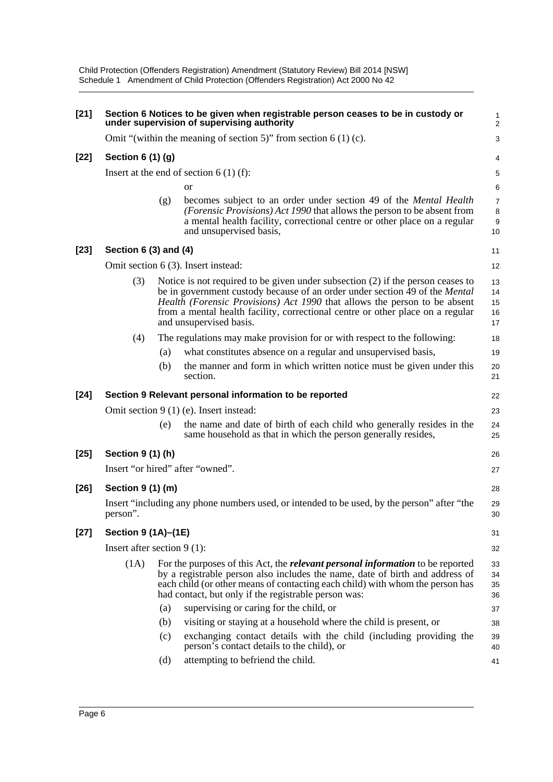| $[21]$ | Section 6 Notices to be given when registrable person ceases to be in custody or<br>under supervision of supervising authority |     |                                                                                                                                                                                                                                                                                                                                                                   |                                                     |  |  |  |  |
|--------|--------------------------------------------------------------------------------------------------------------------------------|-----|-------------------------------------------------------------------------------------------------------------------------------------------------------------------------------------------------------------------------------------------------------------------------------------------------------------------------------------------------------------------|-----------------------------------------------------|--|--|--|--|
|        |                                                                                                                                |     | Omit "(within the meaning of section 5)" from section $6(1)(c)$ .                                                                                                                                                                                                                                                                                                 | 3                                                   |  |  |  |  |
| $[22]$ | Section 6 (1) (g)                                                                                                              |     |                                                                                                                                                                                                                                                                                                                                                                   |                                                     |  |  |  |  |
|        | Insert at the end of section $6(1)(f)$ :                                                                                       |     |                                                                                                                                                                                                                                                                                                                                                                   |                                                     |  |  |  |  |
|        |                                                                                                                                |     | <b>or</b>                                                                                                                                                                                                                                                                                                                                                         | 5<br>6                                              |  |  |  |  |
|        |                                                                                                                                | (g) | becomes subject to an order under section 49 of the <i>Mental Health</i><br>(Forensic Provisions) Act 1990 that allows the person to be absent from<br>a mental health facility, correctional centre or other place on a regular<br>and unsupervised basis,                                                                                                       | $\overline{7}$<br>$\,8\,$<br>$\boldsymbol{9}$<br>10 |  |  |  |  |
| $[23]$ | Section 6 (3) and (4)                                                                                                          |     |                                                                                                                                                                                                                                                                                                                                                                   | 11                                                  |  |  |  |  |
|        |                                                                                                                                |     | Omit section 6 (3). Insert instead:                                                                                                                                                                                                                                                                                                                               | 12                                                  |  |  |  |  |
|        | (3)                                                                                                                            |     | Notice is not required to be given under subsection $(2)$ if the person ceases to<br>be in government custody because of an order under section 49 of the Mental<br><i>Health (Forensic Provisions) Act 1990 that allows the person to be absent</i><br>from a mental health facility, correctional centre or other place on a regular<br>and unsupervised basis. | 13<br>14<br>15<br>16<br>17                          |  |  |  |  |
|        | (4)                                                                                                                            |     | The regulations may make provision for or with respect to the following:                                                                                                                                                                                                                                                                                          | 18                                                  |  |  |  |  |
|        |                                                                                                                                | (a) | what constitutes absence on a regular and unsupervised basis,                                                                                                                                                                                                                                                                                                     | 19                                                  |  |  |  |  |
|        |                                                                                                                                | (b) | the manner and form in which written notice must be given under this<br>section.                                                                                                                                                                                                                                                                                  | 20<br>21                                            |  |  |  |  |
| $[24]$ |                                                                                                                                |     | Section 9 Relevant personal information to be reported                                                                                                                                                                                                                                                                                                            | 22                                                  |  |  |  |  |
|        |                                                                                                                                |     | Omit section $9(1)$ (e). Insert instead:                                                                                                                                                                                                                                                                                                                          | 23                                                  |  |  |  |  |
|        |                                                                                                                                | (e) | the name and date of birth of each child who generally resides in the<br>same household as that in which the person generally resides,                                                                                                                                                                                                                            | 24<br>25                                            |  |  |  |  |
| $[25]$ | Section 9 (1) (h)                                                                                                              |     |                                                                                                                                                                                                                                                                                                                                                                   | 26                                                  |  |  |  |  |
|        |                                                                                                                                |     | Insert "or hired" after "owned".                                                                                                                                                                                                                                                                                                                                  | 27                                                  |  |  |  |  |
| $[26]$ | Section 9 (1) (m)                                                                                                              |     |                                                                                                                                                                                                                                                                                                                                                                   | 28                                                  |  |  |  |  |
|        | person".                                                                                                                       |     | Insert "including any phone numbers used, or intended to be used, by the person" after "the                                                                                                                                                                                                                                                                       | 29<br>30                                            |  |  |  |  |
| $[27]$ | Section 9 (1A)-(1E)                                                                                                            |     |                                                                                                                                                                                                                                                                                                                                                                   | 31                                                  |  |  |  |  |
|        | Insert after section $9(1)$ :                                                                                                  |     |                                                                                                                                                                                                                                                                                                                                                                   | 32                                                  |  |  |  |  |
|        | (1A)                                                                                                                           |     | For the purposes of this Act, the <i>relevant personal information</i> to be reported<br>by a registrable person also includes the name, date of birth and address of<br>each child (or other means of contacting each child) with whom the person has<br>had contact, but only if the registrable person was:                                                    | 33<br>34<br>35<br>36                                |  |  |  |  |
|        |                                                                                                                                | (a) | supervising or caring for the child, or                                                                                                                                                                                                                                                                                                                           | 37                                                  |  |  |  |  |
|        |                                                                                                                                | (b) | visiting or staying at a household where the child is present, or                                                                                                                                                                                                                                                                                                 | 38                                                  |  |  |  |  |
|        |                                                                                                                                | (c) | exchanging contact details with the child (including providing the<br>person's contact details to the child), or                                                                                                                                                                                                                                                  | 39<br>40                                            |  |  |  |  |
|        |                                                                                                                                | (d) | attempting to befriend the child.                                                                                                                                                                                                                                                                                                                                 | 41                                                  |  |  |  |  |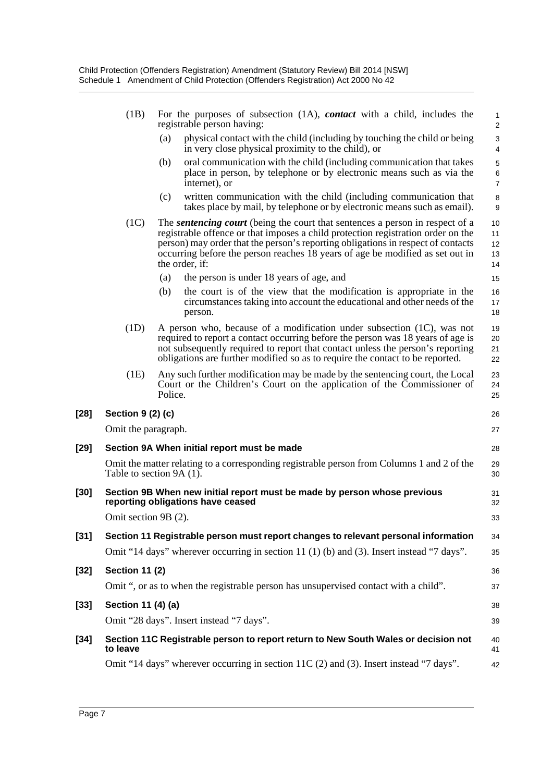|        | (1B)                  | For the purposes of subsection $(1A)$ , <i>contact</i> with a child, includes the<br>registrable person having:                                                                                                                                                                                                                                          | $\mathbf{1}$<br>$\overline{c}$          |
|--------|-----------------------|----------------------------------------------------------------------------------------------------------------------------------------------------------------------------------------------------------------------------------------------------------------------------------------------------------------------------------------------------------|-----------------------------------------|
|        |                       | (a)<br>physical contact with the child (including by touching the child or being<br>in very close physical proximity to the child), or                                                                                                                                                                                                                   | 3<br>4                                  |
|        |                       | (b)<br>oral communication with the child (including communication that takes<br>place in person, by telephone or by electronic means such as via the<br>internet), or                                                                                                                                                                                    | $\sqrt{5}$<br>$\,6\,$<br>$\overline{7}$ |
|        |                       | (c)<br>written communication with the child (including communication that<br>takes place by mail, by telephone or by electronic means such as email).                                                                                                                                                                                                    | 8<br>$\boldsymbol{9}$                   |
|        | (1C)                  | The sentencing court (being the court that sentences a person in respect of a<br>registrable offence or that imposes a child protection registration order on the<br>person) may order that the person's reporting obligations in respect of contacts<br>occurring before the person reaches 18 years of age be modified as set out in<br>the order, if: | 10<br>11<br>12<br>13<br>14              |
|        |                       | (a)<br>the person is under 18 years of age, and                                                                                                                                                                                                                                                                                                          | 15                                      |
|        |                       | (b)<br>the court is of the view that the modification is appropriate in the<br>circumstances taking into account the educational and other needs of the<br>person.                                                                                                                                                                                       | 16<br>17<br>18                          |
|        | (1D)                  | A person who, because of a modification under subsection (1C), was not<br>required to report a contact occurring before the person was 18 years of age is<br>not subsequently required to report that contact unless the person's reporting<br>obligations are further modified so as to require the contact to be reported.                             | 19<br>20<br>21<br>22                    |
|        | (1E)                  | Any such further modification may be made by the sentencing court, the Local<br>Court or the Children's Court on the application of the Commissioner of<br>Police.                                                                                                                                                                                       | 23<br>24<br>25                          |
| $[28]$ | Section 9 (2) (c)     |                                                                                                                                                                                                                                                                                                                                                          | 26                                      |
|        | Omit the paragraph.   |                                                                                                                                                                                                                                                                                                                                                          | 27                                      |
| $[29]$ |                       | Section 9A When initial report must be made                                                                                                                                                                                                                                                                                                              | 28                                      |
|        |                       | Omit the matter relating to a corresponding registrable person from Columns 1 and 2 of the<br>Table to section 9A (1).                                                                                                                                                                                                                                   | 29<br>30                                |
| $[30]$ |                       | Section 9B When new initial report must be made by person whose previous<br>reporting obligations have ceased                                                                                                                                                                                                                                            | 31<br>32                                |
|        | Omit section 9B (2).  |                                                                                                                                                                                                                                                                                                                                                          | 33                                      |
| $[31]$ |                       | Section 11 Registrable person must report changes to relevant personal information                                                                                                                                                                                                                                                                       | 34                                      |
|        |                       | Omit "14 days" wherever occurring in section 11 (1) (b) and (3). Insert instead "7 days".                                                                                                                                                                                                                                                                | 35                                      |
| $[32]$ | <b>Section 11 (2)</b> |                                                                                                                                                                                                                                                                                                                                                          | 36                                      |
|        |                       | Omit ", or as to when the registrable person has unsupervised contact with a child".                                                                                                                                                                                                                                                                     | 37                                      |
| $[33]$ | Section 11 (4) (a)    |                                                                                                                                                                                                                                                                                                                                                          | 38                                      |
|        |                       | Omit "28 days". Insert instead "7 days".                                                                                                                                                                                                                                                                                                                 | 39                                      |
| $[34]$ | to leave              | Section 11C Registrable person to report return to New South Wales or decision not                                                                                                                                                                                                                                                                       | 40<br>41                                |
|        |                       | Omit "14 days" wherever occurring in section 11C (2) and (3). Insert instead "7 days".                                                                                                                                                                                                                                                                   | 42                                      |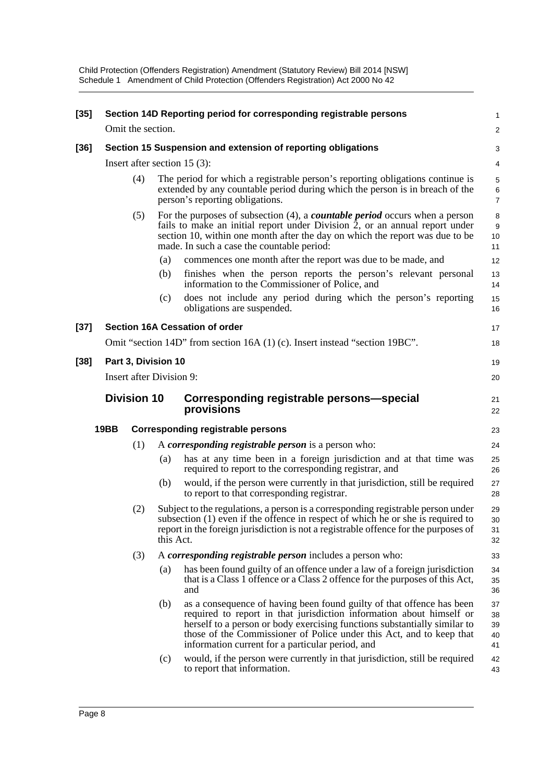| $[35]$ |      |                                 |           | Section 14D Reporting period for corresponding registrable persons                                                                                                                                                                                                                                                                                     | $\mathbf{1}$                           |
|--------|------|---------------------------------|-----------|--------------------------------------------------------------------------------------------------------------------------------------------------------------------------------------------------------------------------------------------------------------------------------------------------------------------------------------------------------|----------------------------------------|
|        |      | Omit the section.               |           |                                                                                                                                                                                                                                                                                                                                                        | 2                                      |
| $[36]$ |      |                                 |           | Section 15 Suspension and extension of reporting obligations                                                                                                                                                                                                                                                                                           | 3                                      |
|        |      |                                 |           | Insert after section 15 $(3)$ :                                                                                                                                                                                                                                                                                                                        | 4                                      |
|        |      | (4)                             |           | The period for which a registrable person's reporting obligations continue is<br>extended by any countable period during which the person is in breach of the<br>person's reporting obligations.                                                                                                                                                       | $\,$ 5 $\,$<br>$\,6$<br>$\overline{7}$ |
|        |      | (5)                             |           | For the purposes of subsection $(4)$ , a <b><i>countable period</i></b> occurs when a person<br>fails to make an initial report under Division 2, or an annual report under<br>section 10, within one month after the day on which the report was due to be<br>made. In such a case the countable period:                                              | 8<br>9<br>10<br>11                     |
|        |      |                                 | (a)       | commences one month after the report was due to be made, and                                                                                                                                                                                                                                                                                           | 12                                     |
|        |      |                                 | (b)       | finishes when the person reports the person's relevant personal<br>information to the Commissioner of Police, and                                                                                                                                                                                                                                      | 13<br>14                               |
|        |      |                                 | (c)       | does not include any period during which the person's reporting<br>obligations are suspended.                                                                                                                                                                                                                                                          | 15<br>16                               |
| $[37]$ |      |                                 |           | <b>Section 16A Cessation of order</b>                                                                                                                                                                                                                                                                                                                  | 17                                     |
|        |      |                                 |           | Omit "section 14D" from section 16A (1) (c). Insert instead "section 19BC".                                                                                                                                                                                                                                                                            | 18                                     |
| $[38]$ |      | Part 3, Division 10             |           |                                                                                                                                                                                                                                                                                                                                                        | 19                                     |
|        |      | <b>Insert after Division 9:</b> |           |                                                                                                                                                                                                                                                                                                                                                        | 20                                     |
|        |      | <b>Division 10</b>              |           | Corresponding registrable persons—special<br>provisions                                                                                                                                                                                                                                                                                                | 21<br>22                               |
|        | 19BB |                                 |           | <b>Corresponding registrable persons</b>                                                                                                                                                                                                                                                                                                               | 23                                     |
|        |      | (1)                             |           | A <i>corresponding registrable person</i> is a person who:                                                                                                                                                                                                                                                                                             | 24                                     |
|        |      |                                 | (a)       | has at any time been in a foreign jurisdiction and at that time was<br>required to report to the corresponding registrar, and                                                                                                                                                                                                                          | 25<br>26                               |
|        |      |                                 | (b)       | would, if the person were currently in that jurisdiction, still be required<br>to report to that corresponding registrar.                                                                                                                                                                                                                              | 27<br>28                               |
|        |      | (2)                             |           | Subject to the regulations, a person is a corresponding registrable person under<br>subsection (1) even if the offence in respect of which he or she is required to<br>report in the foreign jurisdiction is not a registrable offence for the purposes of                                                                                             | 29<br>30<br>31<br>32                   |
|        |      |                                 | this Act. |                                                                                                                                                                                                                                                                                                                                                        |                                        |
|        |      | (3)                             |           | A corresponding registrable person includes a person who:                                                                                                                                                                                                                                                                                              | 33                                     |
|        |      |                                 | (a)       | has been found guilty of an offence under a law of a foreign jurisdiction<br>that is a Class 1 offence or a Class 2 offence for the purposes of this Act,<br>and                                                                                                                                                                                       | 34<br>35<br>36                         |
|        |      |                                 | (b)       | as a consequence of having been found guilty of that offence has been<br>required to report in that jurisdiction information about himself or<br>herself to a person or body exercising functions substantially similar to<br>those of the Commissioner of Police under this Act, and to keep that<br>information current for a particular period, and | 37<br>38<br>39<br>40<br>41             |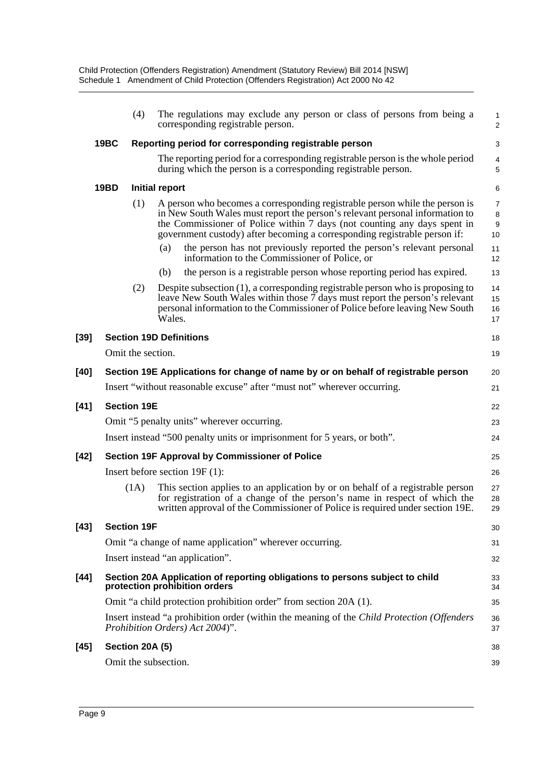|        |             | (4)                | The regulations may exclude any person or class of persons from being a<br>corresponding registrable person.                                                                                                                                                                                                         | 1<br>$\overline{a}$  |
|--------|-------------|--------------------|----------------------------------------------------------------------------------------------------------------------------------------------------------------------------------------------------------------------------------------------------------------------------------------------------------------------|----------------------|
|        | <b>19BC</b> |                    | Reporting period for corresponding registrable person                                                                                                                                                                                                                                                                | 3                    |
|        |             |                    | The reporting period for a corresponding registrable person is the whole period<br>during which the person is a corresponding registrable person.                                                                                                                                                                    | 4<br>5               |
|        | <b>19BD</b> |                    | Initial report                                                                                                                                                                                                                                                                                                       | 6                    |
|        |             | (1)                | A person who becomes a corresponding registrable person while the person is<br>in New South Wales must report the person's relevant personal information to<br>the Commissioner of Police within 7 days (not counting any days spent in<br>government custody) after becoming a corresponding registrable person if: | 7<br>8<br>9<br>10    |
|        |             |                    | the person has not previously reported the person's relevant personal<br>(a)<br>information to the Commissioner of Police, or                                                                                                                                                                                        | 11<br>12             |
|        |             |                    | the person is a registrable person whose reporting period has expired.<br>(b)                                                                                                                                                                                                                                        | 13                   |
|        |             | (2)                | Despite subsection (1), a corresponding registrable person who is proposing to<br>leave New South Wales within those 7 days must report the person's relevant<br>personal information to the Commissioner of Police before leaving New South<br>Wales.                                                               | 14<br>15<br>16<br>17 |
| $[39]$ |             |                    | <b>Section 19D Definitions</b>                                                                                                                                                                                                                                                                                       | 18                   |
|        |             | Omit the section.  |                                                                                                                                                                                                                                                                                                                      | 19                   |
| $[40]$ |             |                    | Section 19E Applications for change of name by or on behalf of registrable person                                                                                                                                                                                                                                    | 20                   |
|        |             |                    | Insert "without reasonable excuse" after "must not" wherever occurring.                                                                                                                                                                                                                                              | 21                   |
| $[41]$ |             | <b>Section 19E</b> |                                                                                                                                                                                                                                                                                                                      | 22                   |
|        |             |                    | Omit "5 penalty units" wherever occurring.                                                                                                                                                                                                                                                                           | 23                   |
|        |             |                    | Insert instead "500 penalty units or imprisonment for 5 years, or both".                                                                                                                                                                                                                                             | 24                   |
| $[42]$ |             |                    | Section 19F Approval by Commissioner of Police                                                                                                                                                                                                                                                                       | 25                   |
|        |             |                    | Insert before section $19F(1)$ :                                                                                                                                                                                                                                                                                     | 26                   |
|        |             | (1A)               | This section applies to an application by or on behalf of a registrable person<br>for registration of a change of the person's name in respect of which the<br>written approval of the Commissioner of Police is required under section 19E.                                                                         | 27<br>28<br>29       |
| $[43]$ |             | <b>Section 19F</b> |                                                                                                                                                                                                                                                                                                                      | 30                   |
|        |             |                    | Omit "a change of name application" wherever occurring.                                                                                                                                                                                                                                                              | 31                   |
|        |             |                    | Insert instead "an application".                                                                                                                                                                                                                                                                                     | 32                   |
| $[44]$ |             |                    | Section 20A Application of reporting obligations to persons subject to child<br>protection prohibition orders                                                                                                                                                                                                        | 33<br>34             |
|        |             |                    | Omit "a child protection prohibition order" from section 20A (1).                                                                                                                                                                                                                                                    | 35                   |
|        |             |                    | Insert instead "a prohibition order (within the meaning of the <i>Child Protection (Offenders</i><br>Prohibition Orders) Act 2004)".                                                                                                                                                                                 | 36<br>37             |
| $[45]$ |             | Section 20A (5)    |                                                                                                                                                                                                                                                                                                                      | 38                   |
|        |             |                    | Omit the subsection.                                                                                                                                                                                                                                                                                                 | 39                   |
|        |             |                    |                                                                                                                                                                                                                                                                                                                      |                      |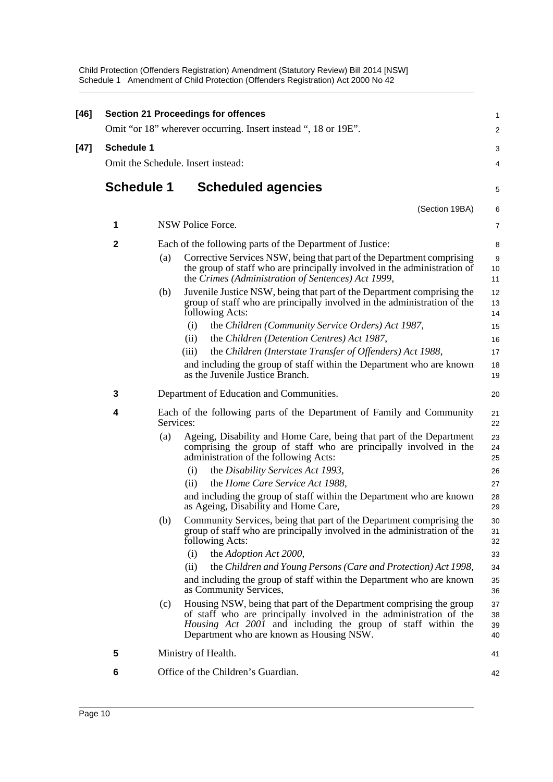| $[46]$ |                   |           | <b>Section 21 Proceedings for offences</b>                                                                                                                                                                                                            | 1                    |
|--------|-------------------|-----------|-------------------------------------------------------------------------------------------------------------------------------------------------------------------------------------------------------------------------------------------------------|----------------------|
|        |                   |           | Omit "or 18" wherever occurring. Insert instead ", 18 or 19E".                                                                                                                                                                                        | 2                    |
| $[47]$ | <b>Schedule 1</b> |           |                                                                                                                                                                                                                                                       | 3                    |
|        |                   |           | Omit the Schedule. Insert instead:                                                                                                                                                                                                                    | 4                    |
|        | <b>Schedule 1</b> |           | <b>Scheduled agencies</b>                                                                                                                                                                                                                             | 5                    |
|        |                   |           | (Section 19BA)                                                                                                                                                                                                                                        | 6                    |
|        | 1                 |           | NSW Police Force.                                                                                                                                                                                                                                     | 7                    |
|        | $\mathbf 2$       |           | Each of the following parts of the Department of Justice:                                                                                                                                                                                             | 8                    |
|        |                   | (a)       | Corrective Services NSW, being that part of the Department comprising<br>the group of staff who are principally involved in the administration of<br>the Crimes (Administration of Sentences) Act 1999,                                               | 9<br>10<br>11        |
|        |                   | (b)       | Juvenile Justice NSW, being that part of the Department comprising the<br>group of staff who are principally involved in the administration of the<br>following Acts:                                                                                 | 12<br>13<br>14       |
|        |                   |           | the Children (Community Service Orders) Act 1987,<br>(i)                                                                                                                                                                                              | 15                   |
|        |                   |           | the Children (Detention Centres) Act 1987,<br>(ii)                                                                                                                                                                                                    | 16                   |
|        |                   |           | the Children (Interstate Transfer of Offenders) Act 1988,<br>(iii)                                                                                                                                                                                    | 17<br>18             |
|        |                   |           | and including the group of staff within the Department who are known<br>as the Juvenile Justice Branch.                                                                                                                                               | 19                   |
|        | 3                 |           | Department of Education and Communities.                                                                                                                                                                                                              | 20                   |
|        | 4                 | Services: | Each of the following parts of the Department of Family and Community                                                                                                                                                                                 | 21<br>22             |
|        |                   | (a)       | Ageing, Disability and Home Care, being that part of the Department<br>comprising the group of staff who are principally involved in the<br>administration of the following Acts:                                                                     | 23<br>24<br>25       |
|        |                   |           | the Disability Services Act 1993,<br>(i)                                                                                                                                                                                                              | 26                   |
|        |                   |           | the Home Care Service Act 1988,<br>(ii)                                                                                                                                                                                                               | 27                   |
|        |                   |           | and including the group of staff within the Department who are known<br>as Ageing, Disability and Home Care,                                                                                                                                          | 28<br>29             |
|        |                   | (b)       | Community Services, being that part of the Department comprising the<br>group of staff who are principally involved in the administration of the<br>following Acts:                                                                                   | 30<br>31<br>32       |
|        |                   |           | the Adoption Act 2000,<br>(i)                                                                                                                                                                                                                         | 33                   |
|        |                   |           | the Children and Young Persons (Care and Protection) Act 1998,<br>(ii)                                                                                                                                                                                | 34                   |
|        |                   |           | and including the group of staff within the Department who are known<br>as Community Services,                                                                                                                                                        | 35<br>36             |
|        |                   | (c)       | Housing NSW, being that part of the Department comprising the group<br>of staff who are principally involved in the administration of the<br>Housing Act 2001 and including the group of staff within the<br>Department who are known as Housing NSW. | 37<br>38<br>39<br>40 |
|        | 5                 |           | Ministry of Health.                                                                                                                                                                                                                                   | 41                   |
|        | 6                 |           | Office of the Children's Guardian.                                                                                                                                                                                                                    |                      |
|        |                   |           |                                                                                                                                                                                                                                                       | 42                   |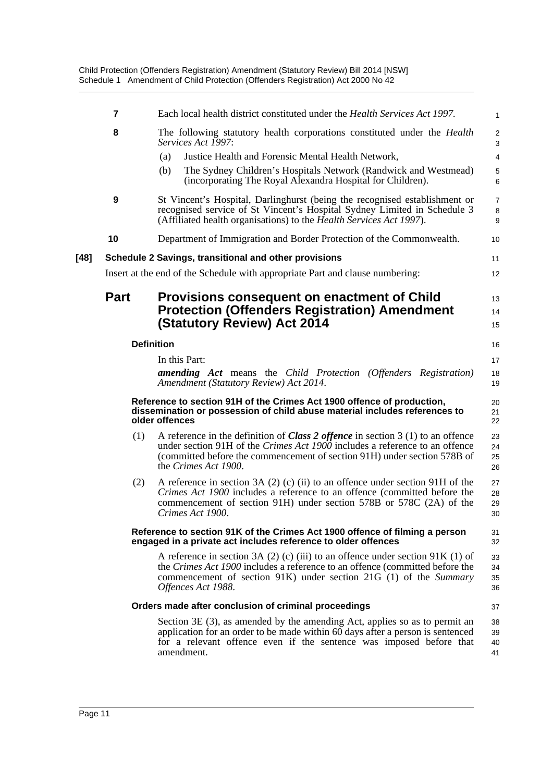|      | 7                | Each local health district constituted under the <i>Health Services Act 1997</i> .                                                                                                                                                                                                | 1                            |
|------|------------------|-----------------------------------------------------------------------------------------------------------------------------------------------------------------------------------------------------------------------------------------------------------------------------------|------------------------------|
|      | 8                | The following statutory health corporations constituted under the <i>Health</i><br>Services Act 1997:                                                                                                                                                                             | $\overline{\mathbf{c}}$<br>3 |
|      |                  | Justice Health and Forensic Mental Health Network,<br>(a)                                                                                                                                                                                                                         | 4                            |
|      |                  | The Sydney Children's Hospitals Network (Randwick and Westmead)<br>(b)<br>(incorporating The Royal Alexandra Hospital for Children).                                                                                                                                              | 5<br>6                       |
|      | $\boldsymbol{9}$ | St Vincent's Hospital, Darlinghurst (being the recognised establishment or<br>recognised service of St Vincent's Hospital Sydney Limited in Schedule 3<br>(Affiliated health organisations) to the <i>Health Services Act 1997</i> ).                                             | $\overline{7}$<br>8<br>9     |
|      | 10               | Department of Immigration and Border Protection of the Commonwealth.                                                                                                                                                                                                              | 10                           |
| [48] |                  | Schedule 2 Savings, transitional and other provisions                                                                                                                                                                                                                             | 11                           |
|      |                  | Insert at the end of the Schedule with appropriate Part and clause numbering:                                                                                                                                                                                                     | 12                           |
|      | <b>Part</b>      | Provisions consequent on enactment of Child<br><b>Protection (Offenders Registration) Amendment</b><br><b>(Statutory Review) Act 2014</b>                                                                                                                                         | 13<br>14<br>15               |
|      |                  | <b>Definition</b>                                                                                                                                                                                                                                                                 | 16                           |
|      |                  | In this Part:                                                                                                                                                                                                                                                                     | 17                           |
|      |                  | <b>amending Act</b> means the Child Protection (Offenders Registration)<br>Amendment (Statutory Review) Act 2014.                                                                                                                                                                 | 18<br>19                     |
|      |                  | Reference to section 91H of the Crimes Act 1900 offence of production,<br>dissemination or possession of child abuse material includes references to<br>older offences                                                                                                            | 20<br>21<br>22               |
|      | (1)              | A reference in the definition of <i>Class 2 offence</i> in section $3(1)$ to an offence<br>under section 91H of the <i>Crimes Act 1900</i> includes a reference to an offence<br>(committed before the commencement of section 91H) under section 578B of<br>the Crimes Act 1900. | 23<br>24<br>25<br>26         |
|      | (2)              | A reference in section $3A(2)$ (c) (ii) to an offence under section $91H$ of the<br><i>Crimes Act 1900</i> includes a reference to an offence (committed before the<br>commencement of section 91H) under section 578B or 578C (2A) of the<br>Crimes Act 1900.                    | 27<br>28<br>29<br>30         |
|      |                  | Reference to section 91K of the Crimes Act 1900 offence of filming a person<br>engaged in a private act includes reference to older offences                                                                                                                                      | 31<br>32                     |
|      |                  | A reference in section 3A (2) (c) (iii) to an offence under section $91K(1)$ of<br>the Crimes Act 1900 includes a reference to an offence (committed before the<br>commencement of section 91K) under section 21G (1) of the Summary<br>Offences Act 1988.                        | 33<br>34<br>35<br>36         |
|      |                  | Orders made after conclusion of criminal proceedings                                                                                                                                                                                                                              | 37                           |
|      |                  | Section $3E(3)$ , as amended by the amending Act, applies so as to permit an<br>application for an order to be made within 60 days after a person is sentenced<br>for a relevant offence even if the sentence was imposed before that<br>amendment.                               | 38<br>39<br>40<br>41         |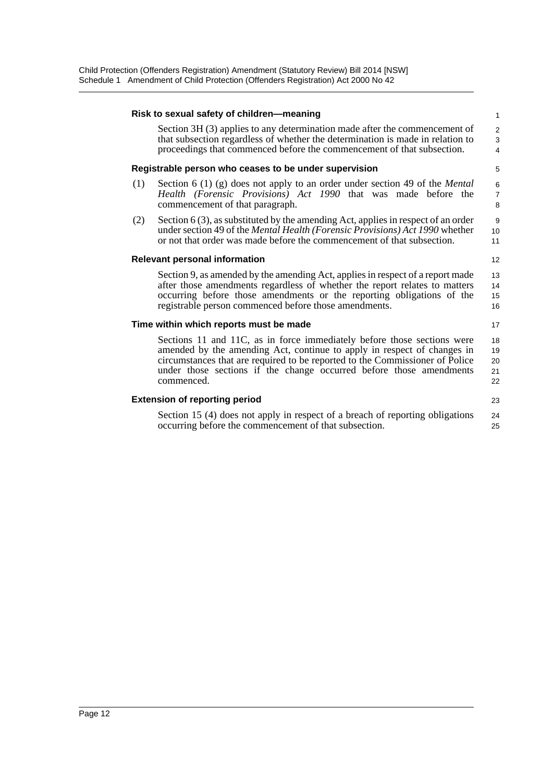#### **Risk to sexual safety of children—meaning** Section 3H (3) applies to any determination made after the commencement of that subsection regardless of whether the determination is made in relation to proceedings that commenced before the commencement of that subsection. **Registrable person who ceases to be under supervision** (1) Section 6 (1) (g) does not apply to an order under section 49 of the *Mental Health (Forensic Provisions) Act 1990* that was made before the commencement of that paragraph. (2) Section 6 (3), as substituted by the amending Act, applies in respect of an order under section 49 of the *Mental Health (Forensic Provisions) Act 1990* whether or not that order was made before the commencement of that subsection. **Relevant personal information** Section 9, as amended by the amending Act, applies in respect of a report made after those amendments regardless of whether the report relates to matters occurring before those amendments or the reporting obligations of the registrable person commenced before those amendments. **Time within which reports must be made** Sections 11 and 11C, as in force immediately before those sections were amended by the amending Act, continue to apply in respect of changes in circumstances that are required to be reported to the Commissioner of Police under those sections if the change occurred before those amendments commenced. **Extension of reporting period** Section 15 (4) does not apply in respect of a breach of reporting obligations occurring before the commencement of that subsection. 1  $\overline{2}$ 3 4 5 6 7 8 9 10 11 12 13 14 15 16 17 18 19  $20$ 21 22 23 24 25